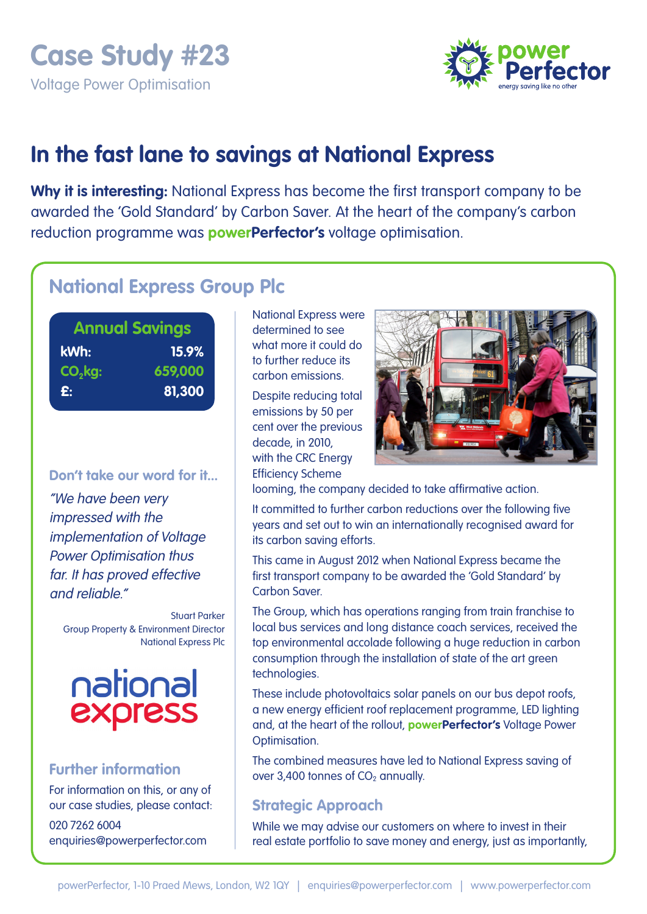

# **In the fast lane to savings at National Express**

**Why it is interesting:** National Express has become the first transport company to be awarded the 'Gold Standard' by Carbon Saver. At the heart of the company's carbon reduction programme was **powerPerfector's** voltage optimisation.

## **National Express Group Plc**

| <b>Annual Savings</b> |         |  |  |  |  |
|-----------------------|---------|--|--|--|--|
| kWh:                  | 15.9%   |  |  |  |  |
| $CO2$ kg:             | 659,000 |  |  |  |  |
| £:                    | 81,300  |  |  |  |  |
|                       |         |  |  |  |  |

#### **Don't take our word for it...**

"We have been very impressed with the implementation of Voltage Power Optimisation thus far. It has proved effective and reliable."

Stuart Parker Group Property & Environment Director National Express Plc



## **Further information**

For information on this, or any of our case studies, please contact: 020 7262 6004 enquiries@powerperfector.com

National Express were determined to see what more it could do to further reduce its carbon emissions.

Despite reducing total emissions by 50 per cent over the previous decade, in 2010, with the CRC Energy Efficiency Scheme



looming, the company decided to take affirmative action.

It committed to further carbon reductions over the following five years and set out to win an internationally recognised award for its carbon saving efforts.

This came in August 2012 when National Express became the first transport company to be awarded the 'Gold Standard' by Carbon Saver.

The Group, which has operations ranging from train franchise to local bus services and long distance coach services, received the top environmental accolade following a huge reduction in carbon consumption through the installation of state of the art green technologies.

These include photovoltaics solar panels on our bus depot roofs, a new energy efficient roof replacement programme, LED lighting and, at the heart of the rollout, **powerPerfector's** Voltage Power Optimisation.

The combined measures have led to National Express saving of over 3,400 tonnes of  $CO<sub>2</sub>$  annually.

## **Strategic Approach**

While we may advise our customers on where to invest in their real estate portfolio to save money and energy, just as importantly,